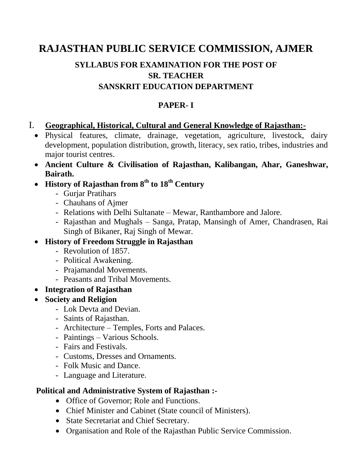# **RAJASTHAN PUBLIC SERVICE COMMISSION, AJMER**

# **SYLLABUS FOR EXAMINATION FOR THE POST OF SR. TEACHER SANSKRIT EDUCATION DEPARTMENT**

#### **PAPER- I**

#### I. **Geographical, Historical, Cultural and General Knowledge of Rajasthan:-**

- Physical features, climate, drainage, vegetation, agriculture, livestock, dairy development, population distribution, growth, literacy, sex ratio, tribes, industries and major tourist centres.
- **Ancient Culture & Civilisation of Rajasthan, Kalibangan, Ahar, Ganeshwar, Bairath.**
- **History of Rajasthan from 8th to 18th Century**
	- Gurjar Pratihars
	- Chauhans of Ajmer
	- Relations with Delhi Sultanate Mewar, Ranthambore and Jalore.
	- Rajasthan and Mughals Sanga, Pratap, Mansingh of Amer, Chandrasen, Rai Singh of Bikaner, Raj Singh of Mewar.
- **History of Freedom Struggle in Rajasthan**
	- Revolution of 1857.
	- Political Awakening.
	- Prajamandal Movements.
	- Peasants and Tribal Movements.
- **Integration of Rajasthan**
- **Society and Religion**
	- Lok Devta and Devian.
	- Saints of Rajasthan.
	- Architecture Temples, Forts and Palaces.
	- Paintings Various Schools.
	- Fairs and Festivals.
	- Customs, Dresses and Ornaments.
	- Folk Music and Dance.
	- Language and Literature.

### **Political and Administrative System of Rajasthan :-**

- Office of Governor: Role and Functions.
- Chief Minister and Cabinet (State council of Ministers).
- State Secretariat and Chief Secretary.
- Organisation and Role of the Rajasthan Public Service Commission.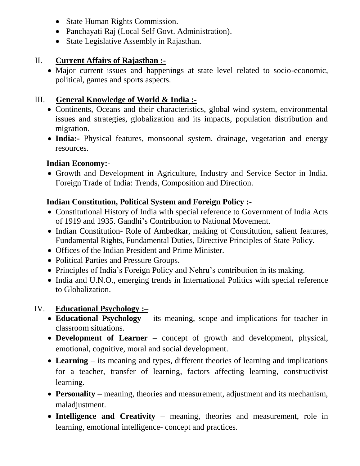- State Human Rights Commission.
- Panchayati Raj (Local Self Govt. Administration).
- State Legislative Assembly in Rajasthan.

## II. **Current Affairs of Rajasthan :-**

 Major current issues and happenings at state level related to socio-economic, political, games and sports aspects.

# III. **General Knowledge of World & India :-**

- Continents, Oceans and their characteristics, global wind system, environmental issues and strategies, globalization and its impacts, population distribution and migration.
- **India:-** Physical features, monsoonal system, drainage, vegetation and energy resources.

# **Indian Economy:-**

 Growth and Development in Agriculture, Industry and Service Sector in India. Foreign Trade of India: Trends, Composition and Direction.

# **Indian Constitution, Political System and Foreign Policy :-**

- Constitutional History of India with special reference to Government of India Acts of 1919 and 1935. Gandhi's Contribution to National Movement.
- Indian Constitution-Role of Ambedkar, making of Constitution, salient features, Fundamental Rights, Fundamental Duties, Directive Principles of State Policy.
- Offices of the Indian President and Prime Minister.
- Political Parties and Pressure Groups.
- Principles of India's Foreign Policy and Nehru's contribution in its making.
- India and U.N.O., emerging trends in International Politics with special reference to Globalization.

# IV. **Educational Psychology :–**

- **Educational Psychology**  its meaning, scope and implications for teacher in classroom situations.
- **Development of Learner**  concept of growth and development, physical, emotional, cognitive, moral and social development.
- **Learning**  its meaning and types, different theories of learning and implications for a teacher, transfer of learning, factors affecting learning, constructivist learning.
- **Personality**  meaning, theories and measurement, adjustment and its mechanism, maladjustment.
- **Intelligence and Creativity**  meaning, theories and measurement, role in learning, emotional intelligence- concept and practices.